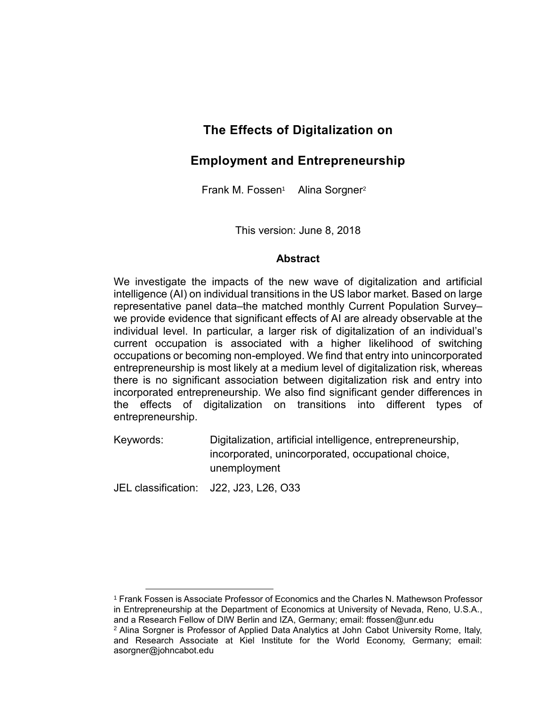# **The Effects of Digitalization on**

# **Employment and Entrepreneurship**

Frank M. Fossen<sup>1</sup> Alina Sorgner<sup>2</sup>

This version: June 8, 2018

#### **Abstract**

We investigate the impacts of the new wave of digitalization and artificial intelligence (AI) on individual transitions in the US labor market. Based on large representative panel data–the matched monthly Current Population Survey– we provide evidence that significant effects of AI are already observable at the individual level. In particular, a larger risk of digitalization of an individual's current occupation is associated with a higher likelihood of switching occupations or becoming non-employed. We find that entry into unincorporated entrepreneurship is most likely at a medium level of digitalization risk, whereas there is no significant association between digitalization risk and entry into incorporated entrepreneurship. We also find significant gender differences in the effects of digitalization on transitions into different types of entrepreneurship.

Keywords: Digitalization, artificial intelligence, entrepreneurship, incorporated, unincorporated, occupational choice, unemployment

JEL classification: J22, J23, L26, O33

l <sup>1</sup> Frank Fossen is Associate Professor of Economics and the Charles N. Mathewson Professor in Entrepreneurship at the Department of Economics at University of Nevada, Reno, U.S.A., and a Research Fellow of DIW Berlin and IZA, Germany; email: ffossen@unr.edu

<sup>&</sup>lt;sup>2</sup> Alina Sorgner is Professor of Applied Data Analytics at John Cabot University Rome, Italy, and Research Associate at Kiel Institute for the World Economy, Germany; email: asorgner@johncabot.edu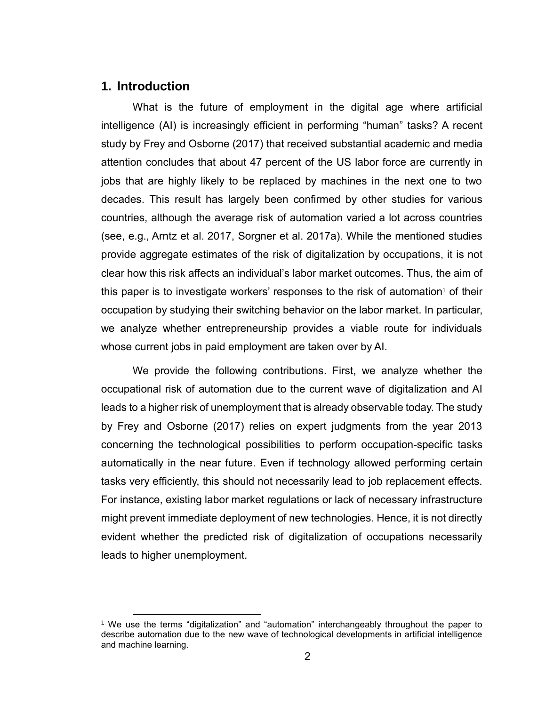#### **1. Introduction**

l

What is the future of employment in the digital age where artificial intelligence (AI) is increasingly efficient in performing "human" tasks? A recent study by Frey and Osborne (2017) that received substantial academic and media attention concludes that about 47 percent of the US labor force are currently in jobs that are highly likely to be replaced by machines in the next one to two decades. This result has largely been confirmed by other studies for various countries, although the average risk of automation varied a lot across countries (see, e.g., Arntz et al. 2017, Sorgner et al. 2017a). While the mentioned studies provide aggregate estimates of the risk of digitalization by occupations, it is not clear how this risk affects an individual's labor market outcomes. Thus, the aim of this paper is to investigate workers' responses to the risk of automation<sup>1</sup> of their occupation by studying their switching behavior on the labor market. In particular, we analyze whether entrepreneurship provides a viable route for individuals whose current jobs in paid employment are taken over by AI.

We provide the following contributions. First, we analyze whether the occupational risk of automation due to the current wave of digitalization and AI leads to a higher risk of unemployment that is already observable today. The study by Frey and Osborne (2017) relies on expert judgments from the year 2013 concerning the technological possibilities to perform occupation-specific tasks automatically in the near future. Even if technology allowed performing certain tasks very efficiently, this should not necessarily lead to job replacement effects. For instance, existing labor market regulations or lack of necessary infrastructure might prevent immediate deployment of new technologies. Hence, it is not directly evident whether the predicted risk of digitalization of occupations necessarily leads to higher unemployment.

<sup>1</sup> We use the terms "digitalization" and "automation" interchangeably throughout the paper to describe automation due to the new wave of technological developments in artificial intelligence and machine learning.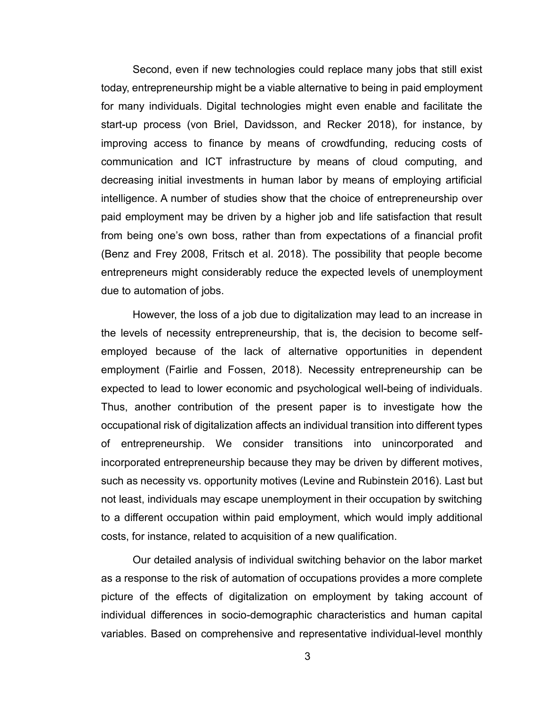Second, even if new technologies could replace many jobs that still exist today, entrepreneurship might be a viable alternative to being in paid employment for many individuals. Digital technologies might even enable and facilitate the start-up process (von Briel, Davidsson, and Recker 2018), for instance, by improving access to finance by means of crowdfunding, reducing costs of communication and ICT infrastructure by means of cloud computing, and decreasing initial investments in human labor by means of employing artificial intelligence. A number of studies show that the choice of entrepreneurship over paid employment may be driven by a higher job and life satisfaction that result from being one's own boss, rather than from expectations of a financial profit (Benz and Frey 2008, Fritsch et al. 2018). The possibility that people become entrepreneurs might considerably reduce the expected levels of unemployment due to automation of jobs.

However, the loss of a job due to digitalization may lead to an increase in the levels of necessity entrepreneurship, that is, the decision to become selfemployed because of the lack of alternative opportunities in dependent employment (Fairlie and Fossen, 2018). Necessity entrepreneurship can be expected to lead to lower economic and psychological well-being of individuals. Thus, another contribution of the present paper is to investigate how the occupational risk of digitalization affects an individual transition into different types of entrepreneurship. We consider transitions into unincorporated and incorporated entrepreneurship because they may be driven by different motives, such as necessity vs. opportunity motives (Levine and Rubinstein 2016). Last but not least, individuals may escape unemployment in their occupation by switching to a different occupation within paid employment, which would imply additional costs, for instance, related to acquisition of a new qualification.

Our detailed analysis of individual switching behavior on the labor market as a response to the risk of automation of occupations provides a more complete picture of the effects of digitalization on employment by taking account of individual differences in socio-demographic characteristics and human capital variables. Based on comprehensive and representative individual-level monthly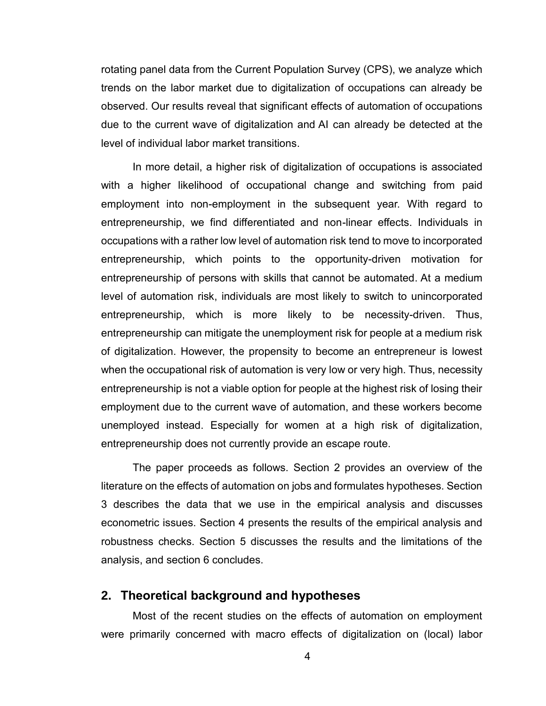rotating panel data from the Current Population Survey (CPS), we analyze which trends on the labor market due to digitalization of occupations can already be observed. Our results reveal that significant effects of automation of occupations due to the current wave of digitalization and AI can already be detected at the level of individual labor market transitions.

In more detail, a higher risk of digitalization of occupations is associated with a higher likelihood of occupational change and switching from paid employment into non-employment in the subsequent year. With regard to entrepreneurship, we find differentiated and non-linear effects. Individuals in occupations with a rather low level of automation risk tend to move to incorporated entrepreneurship, which points to the opportunity-driven motivation for entrepreneurship of persons with skills that cannot be automated. At a medium level of automation risk, individuals are most likely to switch to unincorporated entrepreneurship, which is more likely to be necessity-driven. Thus, entrepreneurship can mitigate the unemployment risk for people at a medium risk of digitalization. However, the propensity to become an entrepreneur is lowest when the occupational risk of automation is very low or very high. Thus, necessity entrepreneurship is not a viable option for people at the highest risk of losing their employment due to the current wave of automation, and these workers become unemployed instead. Especially for women at a high risk of digitalization, entrepreneurship does not currently provide an escape route.

The paper proceeds as follows. Section 2 provides an overview of the literature on the effects of automation on jobs and formulates hypotheses. Section 3 describes the data that we use in the empirical analysis and discusses econometric issues. Section 4 presents the results of the empirical analysis and robustness checks. Section 5 discusses the results and the limitations of the analysis, and section 6 concludes.

#### **2. Theoretical background and hypotheses**

Most of the recent studies on the effects of automation on employment were primarily concerned with macro effects of digitalization on (local) labor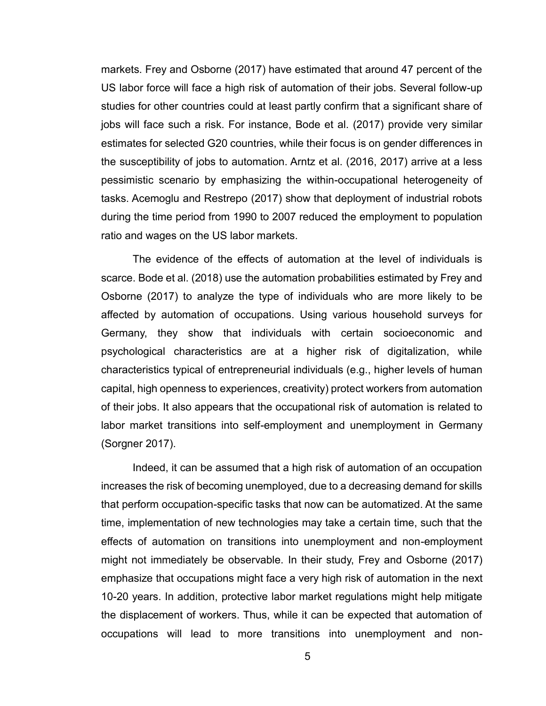markets. Frey and Osborne (2017) have estimated that around 47 percent of the US labor force will face a high risk of automation of their jobs. Several follow-up studies for other countries could at least partly confirm that a significant share of jobs will face such a risk. For instance, Bode et al. (2017) provide very similar estimates for selected G20 countries, while their focus is on gender differences in the susceptibility of jobs to automation. Arntz et al. (2016, 2017) arrive at a less pessimistic scenario by emphasizing the within-occupational heterogeneity of tasks. Acemoglu and Restrepo (2017) show that deployment of industrial robots during the time period from 1990 to 2007 reduced the employment to population ratio and wages on the US labor markets.

The evidence of the effects of automation at the level of individuals is scarce. Bode et al. (2018) use the automation probabilities estimated by Frey and Osborne (2017) to analyze the type of individuals who are more likely to be affected by automation of occupations. Using various household surveys for Germany, they show that individuals with certain socioeconomic and psychological characteristics are at a higher risk of digitalization, while characteristics typical of entrepreneurial individuals (e.g., higher levels of human capital, high openness to experiences, creativity) protect workers from automation of their jobs. It also appears that the occupational risk of automation is related to labor market transitions into self-employment and unemployment in Germany (Sorgner 2017).

Indeed, it can be assumed that a high risk of automation of an occupation increases the risk of becoming unemployed, due to a decreasing demand for skills that perform occupation-specific tasks that now can be automatized. At the same time, implementation of new technologies may take a certain time, such that the effects of automation on transitions into unemployment and non-employment might not immediately be observable. In their study, Frey and Osborne (2017) emphasize that occupations might face a very high risk of automation in the next 10-20 years. In addition, protective labor market regulations might help mitigate the displacement of workers. Thus, while it can be expected that automation of occupations will lead to more transitions into unemployment and non-

5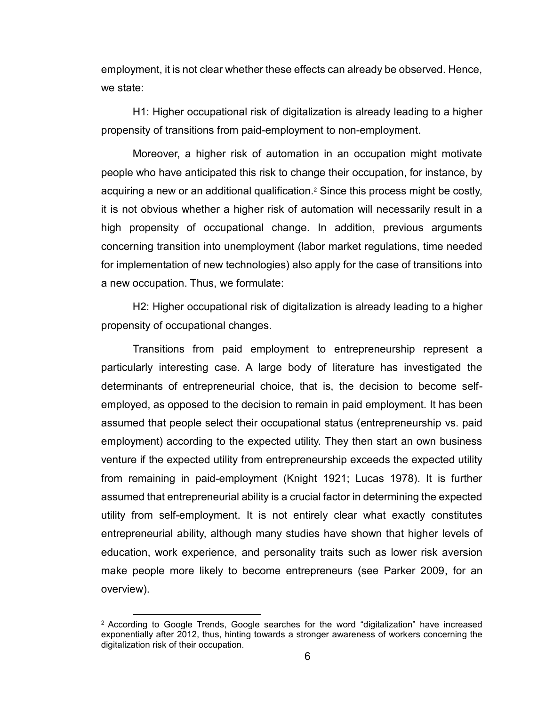employment, it is not clear whether these effects can already be observed. Hence, we state:

H1: Higher occupational risk of digitalization is already leading to a higher propensity of transitions from paid-employment to non-employment.

Moreover, a higher risk of automation in an occupation might motivate people who have anticipated this risk to change their occupation, for instance, by acquiring a new or an additional qualification.<sup>2</sup> Since this process might be costly, it is not obvious whether a higher risk of automation will necessarily result in a high propensity of occupational change. In addition, previous arguments concerning transition into unemployment (labor market regulations, time needed for implementation of new technologies) also apply for the case of transitions into a new occupation. Thus, we formulate:

H2: Higher occupational risk of digitalization is already leading to a higher propensity of occupational changes.

Transitions from paid employment to entrepreneurship represent a particularly interesting case. A large body of literature has investigated the determinants of entrepreneurial choice, that is, the decision to become selfemployed, as opposed to the decision to remain in paid employment. It has been assumed that people select their occupational status (entrepreneurship vs. paid employment) according to the expected utility. They then start an own business venture if the expected utility from entrepreneurship exceeds the expected utility from remaining in paid-employment (Knight 1921; Lucas 1978). It is further assumed that entrepreneurial ability is a crucial factor in determining the expected utility from self-employment. It is not entirely clear what exactly constitutes entrepreneurial ability, although many studies have shown that higher levels of education, work experience, and personality traits such as lower risk aversion make people more likely to become entrepreneurs (see Parker 2009, for an overview).

l

<sup>2</sup> According to Google Trends, Google searches for the word "digitalization" have increased exponentially after 2012, thus, hinting towards a stronger awareness of workers concerning the digitalization risk of their occupation.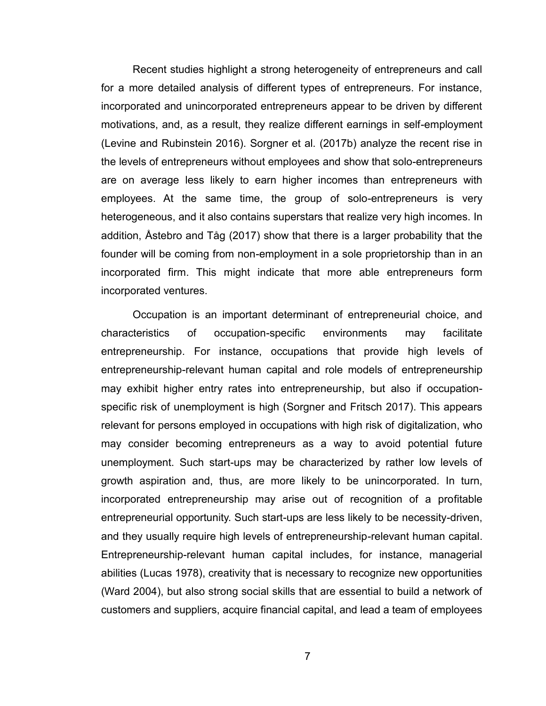Recent studies highlight a strong heterogeneity of entrepreneurs and call for a more detailed analysis of different types of entrepreneurs. For instance, incorporated and unincorporated entrepreneurs appear to be driven by different motivations, and, as a result, they realize different earnings in self-employment (Levine and Rubinstein 2016). Sorgner et al. (2017b) analyze the recent rise in the levels of entrepreneurs without employees and show that solo-entrepreneurs are on average less likely to earn higher incomes than entrepreneurs with employees. At the same time, the group of solo-entrepreneurs is very heterogeneous, and it also contains superstars that realize very high incomes. In addition, Åstebro and Tåg (2017) show that there is a larger probability that the founder will be coming from non-employment in a sole proprietorship than in an incorporated firm. This might indicate that more able entrepreneurs form incorporated ventures.

Occupation is an important determinant of entrepreneurial choice, and characteristics of occupation-specific environments may facilitate entrepreneurship. For instance, occupations that provide high levels of entrepreneurship-relevant human capital and role models of entrepreneurship may exhibit higher entry rates into entrepreneurship, but also if occupationspecific risk of unemployment is high (Sorgner and Fritsch 2017). This appears relevant for persons employed in occupations with high risk of digitalization, who may consider becoming entrepreneurs as a way to avoid potential future unemployment. Such start-ups may be characterized by rather low levels of growth aspiration and, thus, are more likely to be unincorporated. In turn, incorporated entrepreneurship may arise out of recognition of a profitable entrepreneurial opportunity. Such start-ups are less likely to be necessity-driven, and they usually require high levels of entrepreneurship-relevant human capital. Entrepreneurship-relevant human capital includes, for instance, managerial abilities (Lucas 1978), creativity that is necessary to recognize new opportunities (Ward 2004), but also strong social skills that are essential to build a network of customers and suppliers, acquire financial capital, and lead a team of employees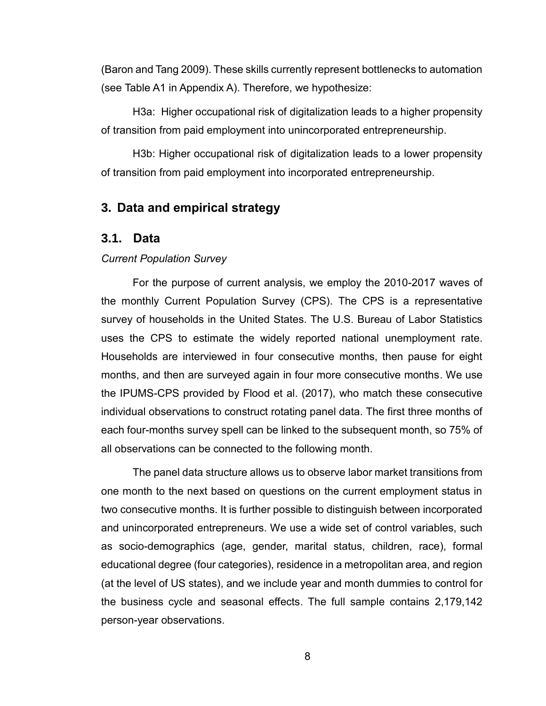(Baron and Tang 2009). These skills currently represent bottlenecks to automation (see Table A1 in Appendix A). Therefore, we hypothesize:

H3a: Higher occupational risk of digitalization leads to a higher propensity of transition from paid employment into unincorporated entrepreneurship.

H3b: Higher occupational risk of digitalization leads to a lower propensity of transition from paid employment into incorporated entrepreneurship.

#### **3. Data and empirical strategy**

#### **3.1. Data**

#### *Current Population Survey*

For the purpose of current analysis, we employ the 2010-2017 waves of the monthly Current Population Survey (CPS). The CPS is a representative survey of households in the United States. The U.S. Bureau of Labor Statistics uses the CPS to estimate the widely reported national unemployment rate. Households are interviewed in four consecutive months, then pause for eight months, and then are surveyed again in four more consecutive months. We use the IPUMS-CPS provided by Flood et al. (2017), who match these consecutive individual observations to construct rotating panel data. The first three months of each four-months survey spell can be linked to the subsequent month, so 75% of all observations can be connected to the following month.

The panel data structure allows us to observe labor market transitions from one month to the next based on questions on the current employment status in two consecutive months. It is further possible to distinguish between incorporated and unincorporated entrepreneurs. We use a wide set of control variables, such as socio-demographics (age, gender, marital status, children, race), formal educational degree (four categories), residence in a metropolitan area, and region (at the level of US states), and we include year and month dummies to control for the business cycle and seasonal effects. The full sample contains 2,179,142 person-year observations.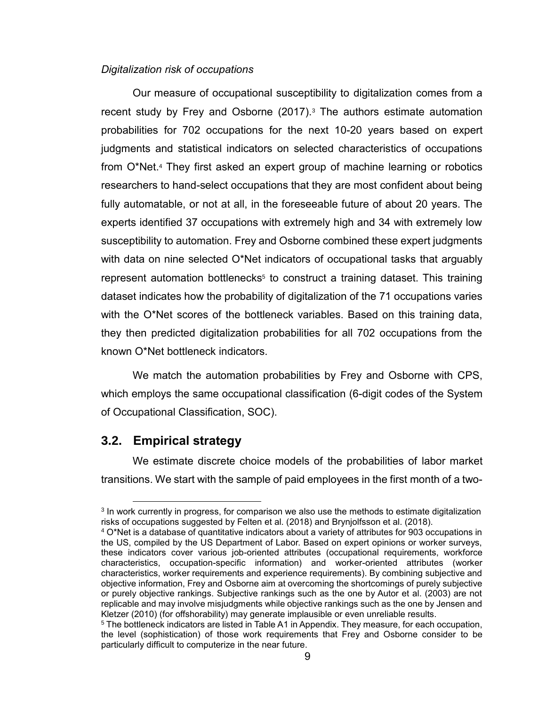#### *Digitalization risk of occupations*

Our measure of occupational susceptibility to digitalization comes from a recent study by Frey and Osborne  $(2017)^3$  The authors estimate automation probabilities for 702 occupations for the next 10-20 years based on expert judgments and statistical indicators on selected characteristics of occupations from O\*Net.<sup>4</sup> They first asked an expert group of machine learning or robotics researchers to hand-select occupations that they are most confident about being fully automatable, or not at all, in the foreseeable future of about 20 years. The experts identified 37 occupations with extremely high and 34 with extremely low susceptibility to automation. Frey and Osborne combined these expert judgments with data on nine selected O\*Net indicators of occupational tasks that arguably represent automation bottlenecks<sup>5</sup> to construct a training dataset. This training dataset indicates how the probability of digitalization of the 71 occupations varies with the O\*Net scores of the bottleneck variables. Based on this training data, they then predicted digitalization probabilities for all 702 occupations from the known O\*Net bottleneck indicators.

We match the automation probabilities by Frey and Osborne with CPS, which employs the same occupational classification (6-digit codes of the System of Occupational Classification, SOC).

## **3.2. Empirical strategy**

l

We estimate discrete choice models of the probabilities of labor market transitions. We start with the sample of paid employees in the first month of a two-

<sup>&</sup>lt;sup>3</sup> In work currently in progress, for comparison we also use the methods to estimate digitalization risks of occupations suggested by Felten et al. (2018) and Brynjolfsson et al. (2018).

<sup>4</sup> O\*Net is a database of quantitative indicators about a variety of attributes for 903 occupations in the US, compiled by the US Department of Labor. Based on expert opinions or worker surveys, these indicators cover various job-oriented attributes (occupational requirements, workforce characteristics, occupation-specific information) and worker-oriented attributes (worker characteristics, worker requirements and experience requirements). By combining subjective and objective information, Frey and Osborne aim at overcoming the shortcomings of purely subjective or purely objective rankings. Subjective rankings such as the one by Autor et al. (2003) are not replicable and may involve misjudgments while objective rankings such as the one by Jensen and Kletzer (2010) (for offshorability) may generate implausible or even unreliable results.

<sup>5</sup> The bottleneck indicators are listed in Table A1 in Appendix. They measure, for each occupation, the level (sophistication) of those work requirements that Frey and Osborne consider to be particularly difficult to computerize in the near future.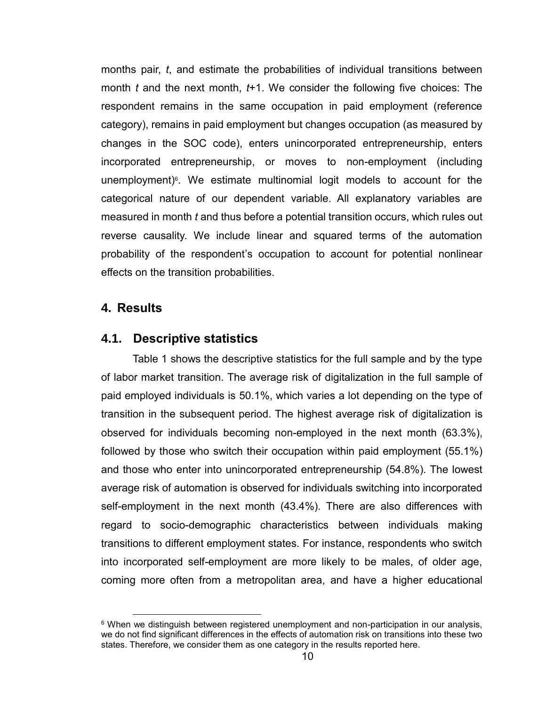months pair, *t*, and estimate the probabilities of individual transitions between month *t* and the next month, *t*+1. We consider the following five choices: The respondent remains in the same occupation in paid employment (reference category), remains in paid employment but changes occupation (as measured by changes in the SOC code), enters unincorporated entrepreneurship, enters incorporated entrepreneurship, or moves to non-employment (including unemployment)<sup>6</sup>. We estimate multinomial logit models to account for the categorical nature of our dependent variable. All explanatory variables are measured in month *t* and thus before a potential transition occurs, which rules out reverse causality. We include linear and squared terms of the automation probability of the respondent's occupation to account for potential nonlinear effects on the transition probabilities.

### **4. Results**

l

### **4.1. Descriptive statistics**

Table 1 shows the descriptive statistics for the full sample and by the type of labor market transition. The average risk of digitalization in the full sample of paid employed individuals is 50.1%, which varies a lot depending on the type of transition in the subsequent period. The highest average risk of digitalization is observed for individuals becoming non-employed in the next month (63.3%), followed by those who switch their occupation within paid employment (55.1%) and those who enter into unincorporated entrepreneurship (54.8%). The lowest average risk of automation is observed for individuals switching into incorporated self-employment in the next month (43.4%). There are also differences with regard to socio-demographic characteristics between individuals making transitions to different employment states. For instance, respondents who switch into incorporated self-employment are more likely to be males, of older age, coming more often from a metropolitan area, and have a higher educational

<sup>&</sup>lt;sup>6</sup> When we distinguish between registered unemployment and non-participation in our analysis, we do not find significant differences in the effects of automation risk on transitions into these two states. Therefore, we consider them as one category in the results reported here.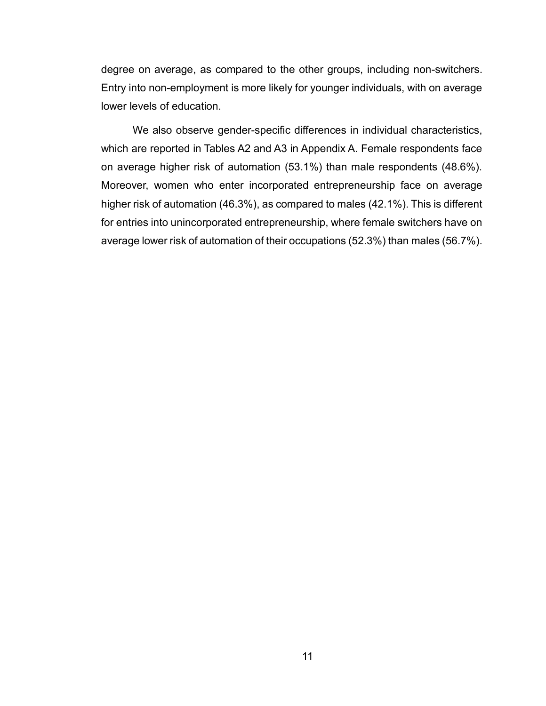degree on average, as compared to the other groups, including non-switchers. Entry into non-employment is more likely for younger individuals, with on average lower levels of education.

We also observe gender-specific differences in individual characteristics, which are reported in Tables A2 and A3 in Appendix A. Female respondents face on average higher risk of automation (53.1%) than male respondents (48.6%). Moreover, women who enter incorporated entrepreneurship face on average higher risk of automation (46.3%), as compared to males (42.1%). This is different for entries into unincorporated entrepreneurship, where female switchers have on average lower risk of automation of their occupations (52.3%) than males (56.7%).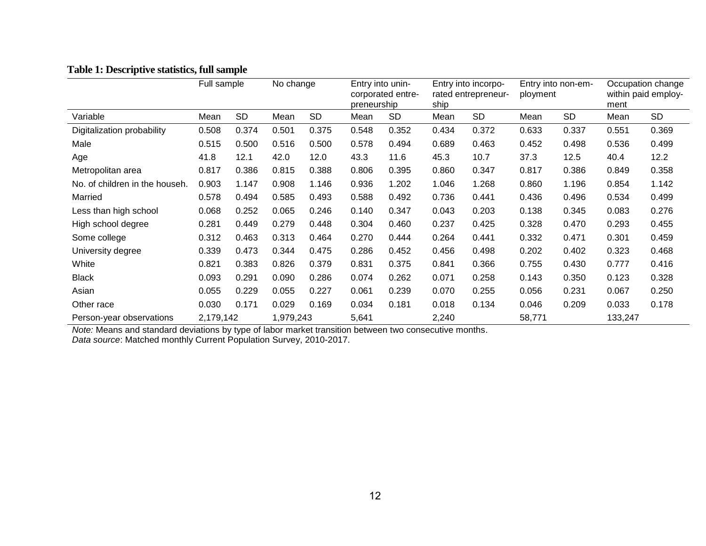|                                | Full sample |           | No change |           | Entry into unin-<br>corporated entre-<br>preneurship |           | Entry into incorpo-<br>rated entrepreneur-<br>ship |           | Entry into non-em-<br>ployment |           | Occupation change<br>within paid employ-<br>ment |           |
|--------------------------------|-------------|-----------|-----------|-----------|------------------------------------------------------|-----------|----------------------------------------------------|-----------|--------------------------------|-----------|--------------------------------------------------|-----------|
| Variable                       | Mean        | SD        | Mean      | <b>SD</b> | Mean                                                 | <b>SD</b> | Mean                                               | <b>SD</b> | Mean                           | <b>SD</b> | Mean                                             | <b>SD</b> |
| Digitalization probability     | 0.508       | 0.374     | 0.501     | 0.375     | 0.548                                                | 0.352     | 0.434                                              | 0.372     | 0.633                          | 0.337     | 0.551                                            | 0.369     |
| Male                           | 0.515       | 0.500     | 0.516     | 0.500     | 0.578                                                | 0.494     | 0.689                                              | 0.463     | 0.452                          | 0.498     | 0.536                                            | 0.499     |
| Age                            | 41.8        | 12.1      | 42.0      | 12.0      | 43.3                                                 | 11.6      | 45.3                                               | 10.7      | 37.3                           | 12.5      | 40.4                                             | 12.2      |
| Metropolitan area              | 0.817       | 0.386     | 0.815     | 0.388     | 0.806                                                | 0.395     | 0.860                                              | 0.347     | 0.817                          | 0.386     | 0.849                                            | 0.358     |
| No. of children in the househ. | 0.903       | 1.147     | 0.908     | 1.146     | 0.936                                                | 1.202     | 1.046                                              | 1.268     | 0.860                          | 1.196     | 0.854                                            | 1.142     |
| Married                        | 0.578       | 0.494     | 0.585     | 0.493     | 0.588                                                | 0.492     | 0.736                                              | 0.441     | 0.436                          | 0.496     | 0.534                                            | 0.499     |
| Less than high school          | 0.068       | 0.252     | 0.065     | 0.246     | 0.140                                                | 0.347     | 0.043                                              | 0.203     | 0.138                          | 0.345     | 0.083                                            | 0.276     |
| High school degree             | 0.281       | 0.449     | 0.279     | 0.448     | 0.304                                                | 0.460     | 0.237                                              | 0.425     | 0.328                          | 0.470     | 0.293                                            | 0.455     |
| Some college                   | 0.312       | 0.463     | 0.313     | 0.464     | 0.270                                                | 0.444     | 0.264                                              | 0.441     | 0.332                          | 0.471     | 0.301                                            | 0.459     |
| University degree              | 0.339       | 0.473     | 0.344     | 0.475     | 0.286                                                | 0.452     | 0.456                                              | 0.498     | 0.202                          | 0.402     | 0.323                                            | 0.468     |
| White                          | 0.821       | 0.383     | 0.826     | 0.379     | 0.831                                                | 0.375     | 0.841                                              | 0.366     | 0.755                          | 0.430     | 0.777                                            | 0.416     |
| <b>Black</b>                   | 0.093       | 0.291     | 0.090     | 0.286     | 0.074                                                | 0.262     | 0.071                                              | 0.258     | 0.143                          | 0.350     | 0.123                                            | 0.328     |
| Asian                          | 0.055       | 0.229     | 0.055     | 0.227     | 0.061                                                | 0.239     | 0.070                                              | 0.255     | 0.056                          | 0.231     | 0.067                                            | 0.250     |
| Other race                     | 0.030       | 0.171     | 0.029     | 0.169     | 0.034                                                | 0.181     | 0.018                                              | 0.134     | 0.046                          | 0.209     | 0.033                                            | 0.178     |
| Person-year observations       |             | 2,179,142 |           | 1,979,243 |                                                      |           | 2,240                                              |           | 58,771                         |           | 133,247                                          |           |

#### **Table 1: Descriptive statistics, full sample**

*Note:* Means and standard deviations by type of labor market transition between two consecutive months. *Data source*: Matched monthly Current Population Survey, 2010-2017.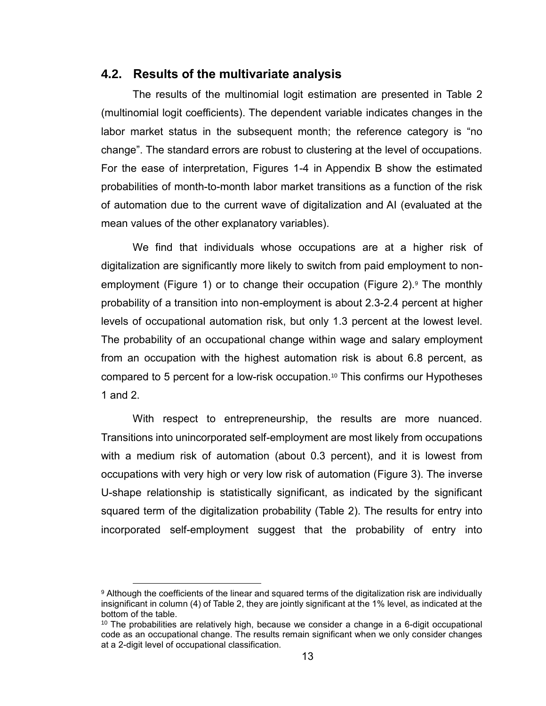#### **4.2. Results of the multivariate analysis**

The results of the multinomial logit estimation are presented in Table 2 (multinomial logit coefficients). The dependent variable indicates changes in the labor market status in the subsequent month; the reference category is "no change". The standard errors are robust to clustering at the level of occupations. For the ease of interpretation, Figures 1-4 in Appendix B show the estimated probabilities of month-to-month labor market transitions as a function of the risk of automation due to the current wave of digitalization and AI (evaluated at the mean values of the other explanatory variables).

We find that individuals whose occupations are at a higher risk of digitalization are significantly more likely to switch from paid employment to nonemployment (Figure 1) or to change their occupation (Figure 2). The monthly probability of a transition into non-employment is about 2.3-2.4 percent at higher levels of occupational automation risk, but only 1.3 percent at the lowest level. The probability of an occupational change within wage and salary employment from an occupation with the highest automation risk is about 6.8 percent, as compared to 5 percent for a low-risk occupation.<sup>10</sup> This confirms our Hypotheses 1 and 2.

With respect to entrepreneurship, the results are more nuanced. Transitions into unincorporated self-employment are most likely from occupations with a medium risk of automation (about 0.3 percent), and it is lowest from occupations with very high or very low risk of automation (Figure 3). The inverse U-shape relationship is statistically significant, as indicated by the significant squared term of the digitalization probability (Table 2). The results for entry into incorporated self-employment suggest that the probability of entry into

l

<sup>9</sup> Although the coefficients of the linear and squared terms of the digitalization risk are individually insignificant in column (4) of Table 2, they are jointly significant at the 1% level, as indicated at the bottom of the table.

<sup>&</sup>lt;sup>10</sup> The probabilities are relatively high, because we consider a change in a 6-digit occupational code as an occupational change. The results remain significant when we only consider changes at a 2-digit level of occupational classification.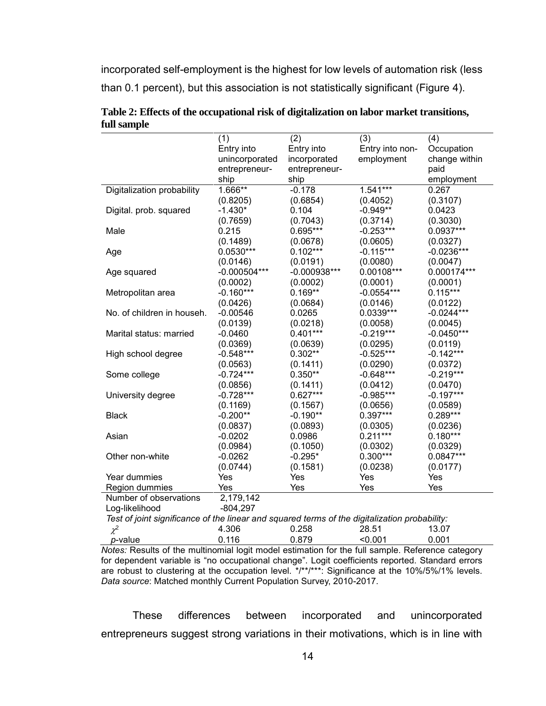incorporated self-employment is the highest for low levels of automation risk (less than 0.1 percent), but this association is not statistically significant (Figure 4).

|                                                                                               | (1)            | (2)            | (3)             | (4)           |
|-----------------------------------------------------------------------------------------------|----------------|----------------|-----------------|---------------|
|                                                                                               | Entry into     | Entry into     | Entry into non- | Occupation    |
|                                                                                               | unincorporated | incorporated   | employment      | change within |
|                                                                                               | entrepreneur-  | entrepreneur-  |                 | paid          |
|                                                                                               | ship           | ship           |                 | employment    |
| Digitalization probability                                                                    | 1.666**        | $-0.178$       | $1.541***$      | 0.267         |
|                                                                                               | (0.8205)       | (0.6854)       | (0.4052)        | (0.3107)      |
| Digital. prob. squared                                                                        | $-1.430*$      | 0.104          | $-0.949**$      | 0.0423        |
|                                                                                               | (0.7659)       | (0.7043)       | (0.3714)        | (0.3030)      |
| Male                                                                                          | 0.215          | $0.695***$     | $-0.253***$     | $0.0937***$   |
|                                                                                               | (0.1489)       | (0.0678)       | (0.0605)        | (0.0327)      |
| Age                                                                                           | $0.0530***$    | $0.102***$     | $-0.115***$     | $-0.0236***$  |
|                                                                                               | (0.0146)       | (0.0191)       | (0.0080)        | (0.0047)      |
| Age squared                                                                                   | $-0.000504***$ | $-0.000938***$ | 0.00108***      | 0.000174***   |
|                                                                                               | (0.0002)       | (0.0002)       | (0.0001)        | (0.0001)      |
| Metropolitan area                                                                             | $-0.160***$    | $0.169**$      | $-0.0554***$    | $0.115***$    |
|                                                                                               | (0.0426)       | (0.0684)       | (0.0146)        | (0.0122)      |
| No. of children in househ.                                                                    | $-0.00546$     | 0.0265         | $0.0339***$     | $-0.0244***$  |
|                                                                                               | (0.0139)       | (0.0218)       | (0.0058)        | (0.0045)      |
| Marital status: married                                                                       | $-0.0460$      | $0.401***$     | $-0.219***$     | $-0.0450***$  |
|                                                                                               | (0.0369)       | (0.0639)       | (0.0295)        | (0.0119)      |
| High school degree                                                                            | $-0.548***$    | $0.302**$      | $-0.525***$     | $-0.142***$   |
|                                                                                               | (0.0563)       | (0.1411)       | (0.0290)        | (0.0372)      |
| Some college                                                                                  | $-0.724***$    | $0.350**$      | $-0.648***$     | $-0.219***$   |
|                                                                                               | (0.0856)       | (0.1411)       | (0.0412)        | (0.0470)      |
| University degree                                                                             | $-0.728***$    | $0.627***$     | $-0.985***$     | $-0.197***$   |
|                                                                                               | (0.1169)       | (0.1567)       | (0.0656)        | (0.0589)      |
| <b>Black</b>                                                                                  | $-0.200**$     | $-0.190**$     | $0.397***$      | $0.289***$    |
|                                                                                               | (0.0837)       | (0.0893)       | (0.0305)        | (0.0236)      |
| Asian                                                                                         | $-0.0202$      | 0.0986         | $0.211***$      | $0.180***$    |
|                                                                                               | (0.0984)       | (0.1050)       | (0.0302)        | (0.0329)      |
| Other non-white                                                                               | $-0.0262$      | $-0.295*$      | $0.300***$      | $0.0847***$   |
|                                                                                               | (0.0744)       | (0.1581)       | (0.0238)        | (0.0177)      |
| Year dummies                                                                                  | Yes            | Yes            | Yes             | Yes           |
| Region dummies                                                                                | Yes            | Yes            | Yes             | Yes           |
| Number of observations                                                                        | 2,179,142      |                |                 |               |
| Log-likelihood                                                                                | $-804,297$     |                |                 |               |
| Test of joint significance of the linear and squared terms of the digitalization probability: |                |                |                 |               |
| $\chi^2$                                                                                      | 4.306          | 0.258          | 28.51           | 13.07         |
| p-value                                                                                       | 0.116          | 0.879          | < 0.001         | 0.001         |

**Table 2: Effects of the occupational risk of digitalization on labor market transitions, full sample**

*Notes:* Results of the multinomial logit model estimation for the full sample. Reference category for dependent variable is "no occupational change". Logit coefficients reported. Standard errors are robust to clustering at the occupation level. \*/\*\*/\*\*\*: Significance at the 10%/5%/1% levels. *Data source*: Matched monthly Current Population Survey, 2010-2017.

These differences between incorporated and unincorporated entrepreneurs suggest strong variations in their motivations, which is in line with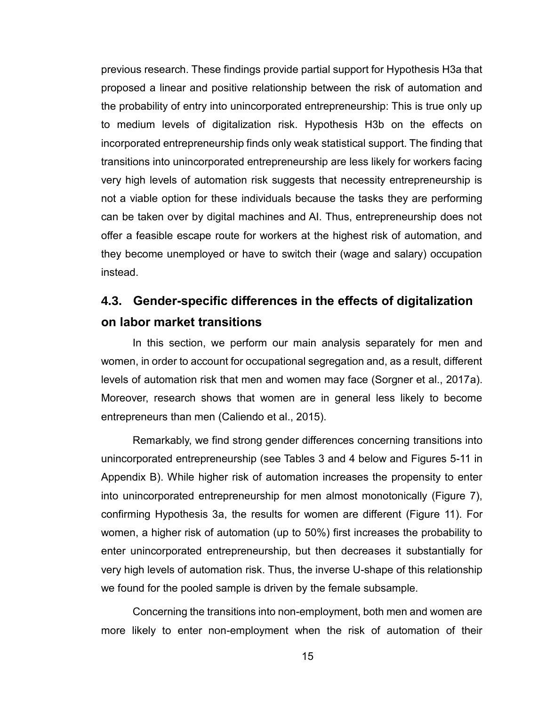previous research. These findings provide partial support for Hypothesis H3a that proposed a linear and positive relationship between the risk of automation and the probability of entry into unincorporated entrepreneurship: This is true only up to medium levels of digitalization risk. Hypothesis H3b on the effects on incorporated entrepreneurship finds only weak statistical support. The finding that transitions into unincorporated entrepreneurship are less likely for workers facing very high levels of automation risk suggests that necessity entrepreneurship is not a viable option for these individuals because the tasks they are performing can be taken over by digital machines and AI. Thus, entrepreneurship does not offer a feasible escape route for workers at the highest risk of automation, and they become unemployed or have to switch their (wage and salary) occupation instead.

# **4.3. Gender-specific differences in the effects of digitalization on labor market transitions**

In this section, we perform our main analysis separately for men and women, in order to account for occupational segregation and, as a result, different levels of automation risk that men and women may face (Sorgner et al., 2017a). Moreover, research shows that women are in general less likely to become entrepreneurs than men (Caliendo et al., 2015).

Remarkably, we find strong gender differences concerning transitions into unincorporated entrepreneurship (see Tables 3 and 4 below and Figures 5-11 in Appendix B). While higher risk of automation increases the propensity to enter into unincorporated entrepreneurship for men almost monotonically (Figure 7), confirming Hypothesis 3a, the results for women are different (Figure 11). For women, a higher risk of automation (up to 50%) first increases the probability to enter unincorporated entrepreneurship, but then decreases it substantially for very high levels of automation risk. Thus, the inverse U-shape of this relationship we found for the pooled sample is driven by the female subsample.

Concerning the transitions into non-employment, both men and women are more likely to enter non-employment when the risk of automation of their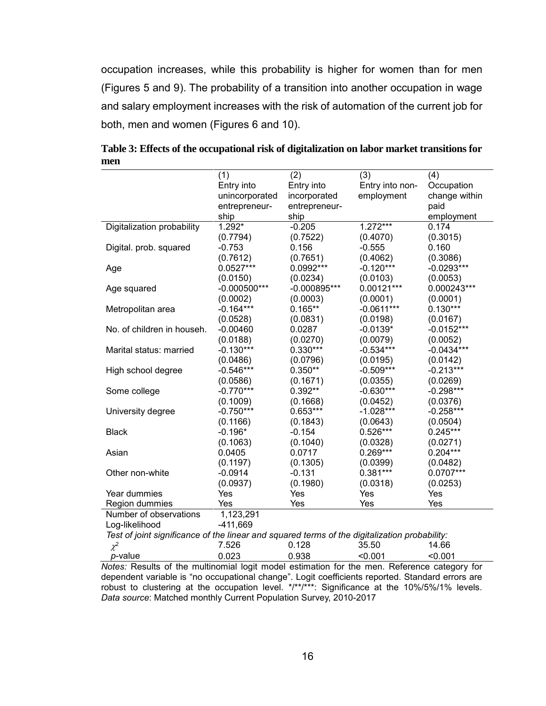occupation increases, while this probability is higher for women than for men (Figures 5 and 9). The probability of a transition into another occupation in wage and salary employment increases with the risk of automation of the current job for both, men and women (Figures 6 and 10).

|                                                                                               | (1)            | (2)            | (3)             | (4)           |
|-----------------------------------------------------------------------------------------------|----------------|----------------|-----------------|---------------|
|                                                                                               | Entry into     | Entry into     | Entry into non- | Occupation    |
|                                                                                               | unincorporated | incorporated   | employment      | change within |
|                                                                                               | entrepreneur-  | entrepreneur-  |                 | paid          |
|                                                                                               | ship           | ship           |                 | employment    |
| Digitalization probability                                                                    | $1.292*$       | $-0.205$       | $1.272***$      | 0.174         |
|                                                                                               | (0.7794)       | (0.7522)       | (0.4070)        | (0.3015)      |
| Digital. prob. squared                                                                        | $-0.753$       | 0.156          | $-0.555$        | 0.160         |
|                                                                                               | (0.7612)       | (0.7651)       | (0.4062)        | (0.3086)      |
| Age                                                                                           | $0.0527***$    | 0.0992***      | $-0.120***$     | $-0.0293***$  |
|                                                                                               | (0.0150)       | (0.0234)       | (0.0103)        | (0.0053)      |
| Age squared                                                                                   | $-0.000500***$ | $-0.000895***$ | 0.00121***      | 0.000243***   |
|                                                                                               | (0.0002)       | (0.0003)       | (0.0001)        | (0.0001)      |
| Metropolitan area                                                                             | $-0.164***$    | $0.165**$      | $-0.0611***$    | $0.130***$    |
|                                                                                               | (0.0528)       | (0.0831)       | (0.0198)        | (0.0167)      |
| No. of children in househ.                                                                    | $-0.00460$     | 0.0287         | $-0.0139*$      | $-0.0152***$  |
|                                                                                               | (0.0188)       | (0.0270)       | (0.0079)        | (0.0052)      |
| Marital status: married                                                                       | $-0.130***$    | $0.330***$     | $-0.534***$     | $-0.0434***$  |
|                                                                                               | (0.0486)       | (0.0796)       | (0.0195)        | (0.0142)      |
| High school degree                                                                            | $-0.546***$    | $0.350**$      | $-0.509***$     | $-0.213***$   |
|                                                                                               | (0.0586)       | (0.1671)       | (0.0355)        | (0.0269)      |
| Some college                                                                                  | $-0.770***$    | $0.392**$      | $-0.630***$     | $-0.298***$   |
|                                                                                               | (0.1009)       | (0.1668)       | (0.0452)        | (0.0376)      |
| University degree                                                                             | $-0.750***$    | $0.653***$     | $-1.028***$     | $-0.258***$   |
|                                                                                               | (0.1166)       | (0.1843)       | (0.0643)        | (0.0504)      |
| <b>Black</b>                                                                                  | $-0.196*$      | $-0.154$       | $0.526***$      | $0.245***$    |
|                                                                                               | (0.1063)       | (0.1040)       | (0.0328)        | (0.0271)      |
| Asian                                                                                         | 0.0405         | 0.0717         | $0.269***$      | $0.204***$    |
|                                                                                               | (0.1197)       | (0.1305)       | (0.0399)        | (0.0482)      |
| Other non-white                                                                               | $-0.0914$      | $-0.131$       | $0.381***$      | 0.0707***     |
|                                                                                               | (0.0937)       | (0.1980)       | (0.0318)        | (0.0253)      |
| Year dummies                                                                                  | Yes            | Yes            | Yes             | Yes           |
| Region dummies                                                                                | Yes            | Yes            | Yes             | Yes           |
| Number of observations                                                                        | 1,123,291      |                |                 |               |
| Log-likelihood                                                                                | $-411,669$     |                |                 |               |
| Test of joint significance of the linear and squared terms of the digitalization probability: |                |                |                 |               |
| $\chi^2$                                                                                      | 7.526          | 0.128          | 35.50           | 14.66         |

**Table 3: Effects of the occupational risk of digitalization on labor market transitions for men**

*p*-value 0.023 0.938 <0.001 <0.001 *Notes:* Results of the multinomial logit model estimation for the men. Reference category for dependent variable is "no occupational change". Logit coefficients reported. Standard errors are robust to clustering at the occupation level. \*/\*\*/\*\*\*: Significance at the 10%/5%/1% levels. *Data source*: Matched monthly Current Population Survey, 2010-2017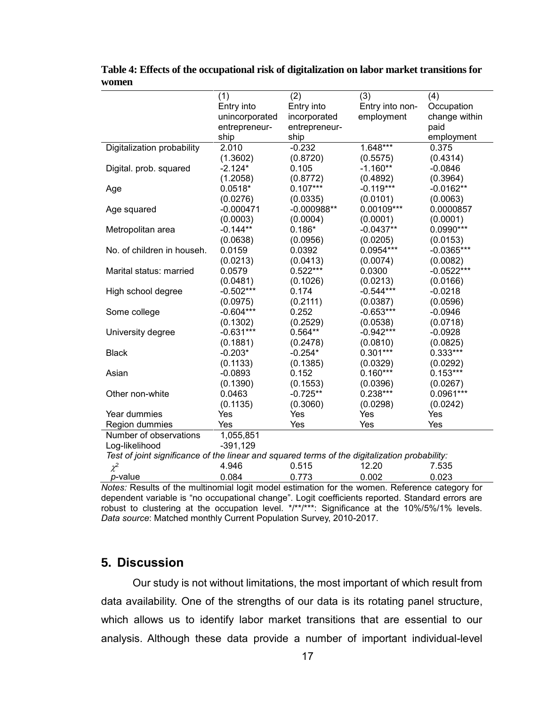|                                                                                               | (1)            | (2)           | (3)             | (4)           |
|-----------------------------------------------------------------------------------------------|----------------|---------------|-----------------|---------------|
|                                                                                               | Entry into     | Entry into    | Entry into non- | Occupation    |
|                                                                                               | unincorporated | incorporated  | employment      | change within |
|                                                                                               | entrepreneur-  | entrepreneur- |                 | paid          |
|                                                                                               | ship           | ship          |                 | employment    |
| Digitalization probability                                                                    | 2.010          | $-0.232$      | 1.648***        | 0.375         |
|                                                                                               | (1.3602)       | (0.8720)      | (0.5575)        | (0.4314)      |
| Digital. prob. squared                                                                        | $-2.124*$      | 0.105         | $-1.160**$      | $-0.0846$     |
|                                                                                               | (1.2058)       | (0.8772)      | (0.4892)        | (0.3964)      |
| Age                                                                                           | $0.0518*$      | $0.107***$    | $-0.119***$     | $-0.0162**$   |
|                                                                                               | (0.0276)       | (0.0335)      | (0.0101)        | (0.0063)      |
| Age squared                                                                                   | $-0.000471$    | $-0.000988**$ | 0.00109***      | 0.0000857     |
|                                                                                               | (0.0003)       | (0.0004)      | (0.0001)        | (0.0001)      |
| Metropolitan area                                                                             | $-0.144**$     | $0.186*$      | $-0.0437**$     | $0.0990***$   |
|                                                                                               | (0.0638)       | (0.0956)      | (0.0205)        | (0.0153)      |
| No. of children in househ.                                                                    | 0.0159         | 0.0392        | $0.0954***$     | $-0.0365***$  |
|                                                                                               | (0.0213)       | (0.0413)      | (0.0074)        | (0.0082)      |
| Marital status: married                                                                       | 0.0579         | $0.522***$    | 0.0300          | $-0.0522***$  |
|                                                                                               | (0.0481)       | (0.1026)      | (0.0213)        | (0.0166)      |
| High school degree                                                                            | $-0.502***$    | 0.174         | $-0.544***$     | $-0.0218$     |
|                                                                                               | (0.0975)       | (0.2111)      | (0.0387)        | (0.0596)      |
| Some college                                                                                  | $-0.604***$    | 0.252         | $-0.653***$     | $-0.0946$     |
|                                                                                               | (0.1302)       | (0.2529)      | (0.0538)        | (0.0718)      |
| University degree                                                                             | $-0.631***$    | $0.564**$     | $-0.942***$     | $-0.0928$     |
|                                                                                               | (0.1881)       | (0.2478)      | (0.0810)        | (0.0825)      |
| <b>Black</b>                                                                                  | $-0.203*$      | $-0.254*$     | $0.301***$      | $0.333***$    |
|                                                                                               | (0.1133)       | (0.1385)      | (0.0329)        | (0.0292)      |
| Asian                                                                                         | $-0.0893$      | 0.152         | $0.160***$      | $0.153***$    |
|                                                                                               | (0.1390)       | (0.1553)      | (0.0396)        | (0.0267)      |
| Other non-white                                                                               | 0.0463         | $-0.725**$    | $0.238***$      | 0.0961***     |
|                                                                                               | (0.1135)       | (0.3060)      | (0.0298)        | (0.0242)      |
| Year dummies                                                                                  | Yes            | Yes           | Yes             | Yes           |
| Region dummies                                                                                | Yes            | Yes           | Yes             | Yes           |
| Number of observations                                                                        | 1,055,851      |               |                 |               |
| Log-likelihood                                                                                | $-391,129$     |               |                 |               |
| Test of joint significance of the linear and squared terms of the digitalization probability: |                |               |                 |               |
| $\chi^2$                                                                                      | 4.946          | 0.515         | 12.20           | 7.535         |
| p-value                                                                                       | 0.084          | 0.773         | 0.002           | 0.023         |

**Table 4: Effects of the occupational risk of digitalization on labor market transitions for women**

*Notes:* Results of the multinomial logit model estimation for the women. Reference category for dependent variable is "no occupational change". Logit coefficients reported. Standard errors are robust to clustering at the occupation level. \*/\*\*/\*\*\*: Significance at the 10%/5%/1% levels. *Data source*: Matched monthly Current Population Survey, 2010-2017.

## **5. Discussion**

Our study is not without limitations, the most important of which result from data availability. One of the strengths of our data is its rotating panel structure, which allows us to identify labor market transitions that are essential to our analysis. Although these data provide a number of important individual-level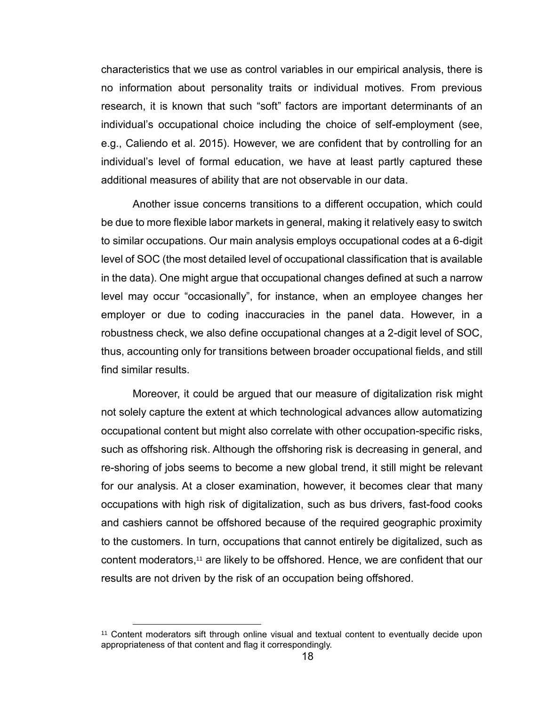characteristics that we use as control variables in our empirical analysis, there is no information about personality traits or individual motives. From previous research, it is known that such "soft" factors are important determinants of an individual's occupational choice including the choice of self-employment (see, e.g., Caliendo et al. 2015). However, we are confident that by controlling for an individual's level of formal education, we have at least partly captured these additional measures of ability that are not observable in our data.

Another issue concerns transitions to a different occupation, which could be due to more flexible labor markets in general, making it relatively easy to switch to similar occupations. Our main analysis employs occupational codes at a 6-digit level of SOC (the most detailed level of occupational classification that is available in the data). One might argue that occupational changes defined at such a narrow level may occur "occasionally", for instance, when an employee changes her employer or due to coding inaccuracies in the panel data. However, in a robustness check, we also define occupational changes at a 2-digit level of SOC, thus, accounting only for transitions between broader occupational fields, and still find similar results.

Moreover, it could be argued that our measure of digitalization risk might not solely capture the extent at which technological advances allow automatizing occupational content but might also correlate with other occupation-specific risks, such as offshoring risk. Although the offshoring risk is decreasing in general, and re-shoring of jobs seems to become a new global trend, it still might be relevant for our analysis. At a closer examination, however, it becomes clear that many occupations with high risk of digitalization, such as bus drivers, fast-food cooks and cashiers cannot be offshored because of the required geographic proximity to the customers. In turn, occupations that cannot entirely be digitalized, such as content moderators, <sup>11</sup> are likely to be offshored. Hence, we are confident that our results are not driven by the risk of an occupation being offshored.

l

<sup>11</sup> Content moderators sift through online visual and textual content to eventually decide upon appropriateness of that content and flag it correspondingly.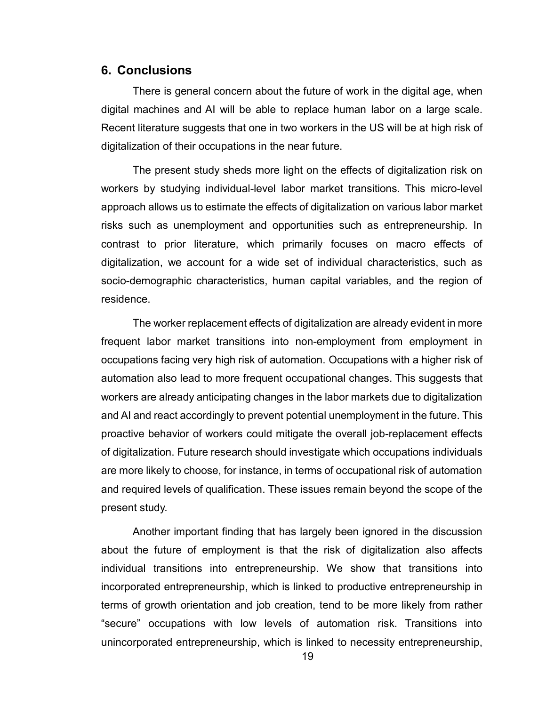#### **6. Conclusions**

There is general concern about the future of work in the digital age, when digital machines and AI will be able to replace human labor on a large scale. Recent literature suggests that one in two workers in the US will be at high risk of digitalization of their occupations in the near future.

The present study sheds more light on the effects of digitalization risk on workers by studying individual-level labor market transitions. This micro-level approach allows us to estimate the effects of digitalization on various labor market risks such as unemployment and opportunities such as entrepreneurship. In contrast to prior literature, which primarily focuses on macro effects of digitalization, we account for a wide set of individual characteristics, such as socio-demographic characteristics, human capital variables, and the region of residence.

The worker replacement effects of digitalization are already evident in more frequent labor market transitions into non-employment from employment in occupations facing very high risk of automation. Occupations with a higher risk of automation also lead to more frequent occupational changes. This suggests that workers are already anticipating changes in the labor markets due to digitalization and AI and react accordingly to prevent potential unemployment in the future. This proactive behavior of workers could mitigate the overall job-replacement effects of digitalization. Future research should investigate which occupations individuals are more likely to choose, for instance, in terms of occupational risk of automation and required levels of qualification. These issues remain beyond the scope of the present study.

Another important finding that has largely been ignored in the discussion about the future of employment is that the risk of digitalization also affects individual transitions into entrepreneurship. We show that transitions into incorporated entrepreneurship, which is linked to productive entrepreneurship in terms of growth orientation and job creation, tend to be more likely from rather "secure" occupations with low levels of automation risk. Transitions into unincorporated entrepreneurship, which is linked to necessity entrepreneurship,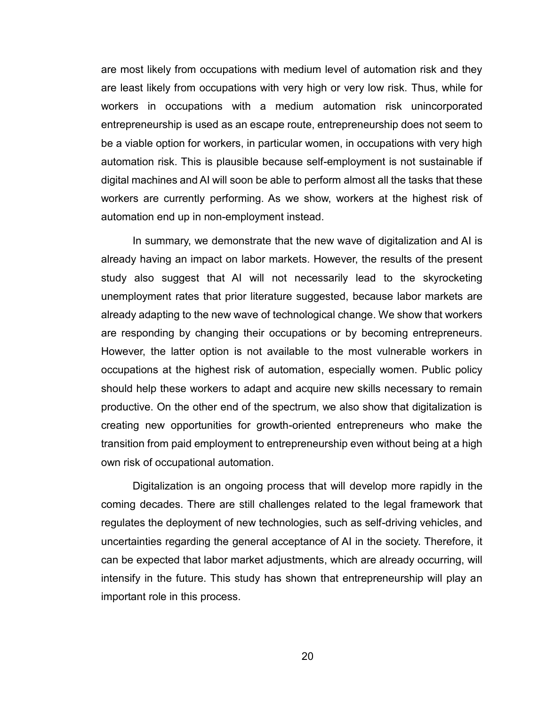are most likely from occupations with medium level of automation risk and they are least likely from occupations with very high or very low risk. Thus, while for workers in occupations with a medium automation risk unincorporated entrepreneurship is used as an escape route, entrepreneurship does not seem to be a viable option for workers, in particular women, in occupations with very high automation risk. This is plausible because self-employment is not sustainable if digital machines and AI will soon be able to perform almost all the tasks that these workers are currently performing. As we show, workers at the highest risk of automation end up in non-employment instead.

In summary, we demonstrate that the new wave of digitalization and AI is already having an impact on labor markets. However, the results of the present study also suggest that AI will not necessarily lead to the skyrocketing unemployment rates that prior literature suggested, because labor markets are already adapting to the new wave of technological change. We show that workers are responding by changing their occupations or by becoming entrepreneurs. However, the latter option is not available to the most vulnerable workers in occupations at the highest risk of automation, especially women. Public policy should help these workers to adapt and acquire new skills necessary to remain productive. On the other end of the spectrum, we also show that digitalization is creating new opportunities for growth-oriented entrepreneurs who make the transition from paid employment to entrepreneurship even without being at a high own risk of occupational automation.

Digitalization is an ongoing process that will develop more rapidly in the coming decades. There are still challenges related to the legal framework that regulates the deployment of new technologies, such as self-driving vehicles, and uncertainties regarding the general acceptance of AI in the society. Therefore, it can be expected that labor market adjustments, which are already occurring, will intensify in the future. This study has shown that entrepreneurship will play an important role in this process.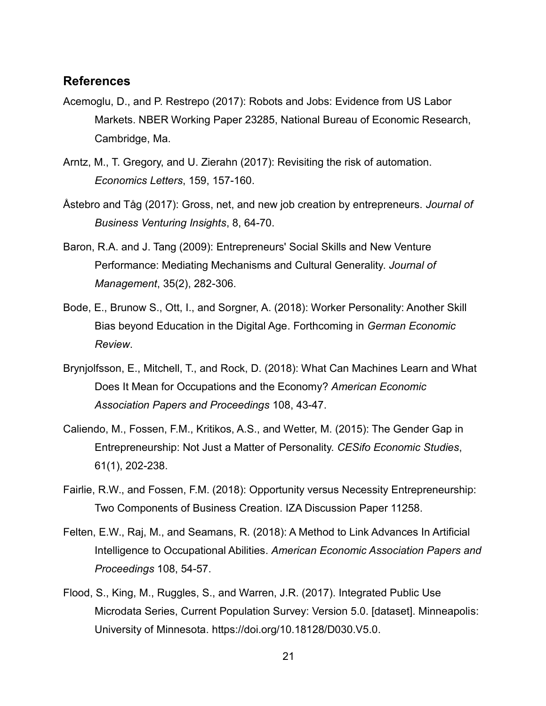#### **References**

- Acemoglu, D., and P. Restrepo (2017): Robots and Jobs: Evidence from US Labor Markets. NBER Working Paper 23285, National Bureau of Economic Research, Cambridge, Ma.
- Arntz, M., T. Gregory, and U. Zierahn (2017): Revisiting the risk of automation. *Economics Letters*, 159, 157-160.
- Åstebro and Tåg (2017): Gross, net, and new job creation by entrepreneurs. *Journal of Business Venturing Insights*, 8, 64-70.
- Baron, R.A. and J. Tang (2009): Entrepreneurs' Social Skills and New Venture Performance: Mediating Mechanisms and Cultural Generality. *Journal of Management*, 35(2), 282-306.
- Bode, E., Brunow S., Ott, I., and Sorgner, A. (2018): Worker Personality: Another Skill Bias beyond Education in the Digital Age. Forthcoming in *German Economic Review*.
- Brynjolfsson, E., Mitchell, T., and Rock, D. (2018): What Can Machines Learn and What Does It Mean for Occupations and the Economy? *American Economic Association Papers and Proceedings* 108, 43-47.
- Caliendo, M., Fossen, F.M., Kritikos, A.S., and Wetter, M. (2015): The Gender Gap in Entrepreneurship: Not Just a Matter of Personality. *CESifo Economic Studies*, 61(1), 202-238.
- Fairlie, R.W., and Fossen, F.M. (2018): Opportunity versus Necessity Entrepreneurship: Two Components of Business Creation. IZA Discussion Paper 11258.
- Felten, E.W., Raj, M., and Seamans, R. (2018): A Method to Link Advances In Artificial Intelligence to Occupational Abilities. *American Economic Association Papers and Proceedings* 108, 54-57.
- Flood, S., King, M., Ruggles, S., and Warren, J.R. (2017). Integrated Public Use Microdata Series, Current Population Survey: Version 5.0. [dataset]. Minneapolis: University of Minnesota. [https://doi.org/10.18128/D030.V5.0.](https://doi.org/10.18128/D030.V5.0)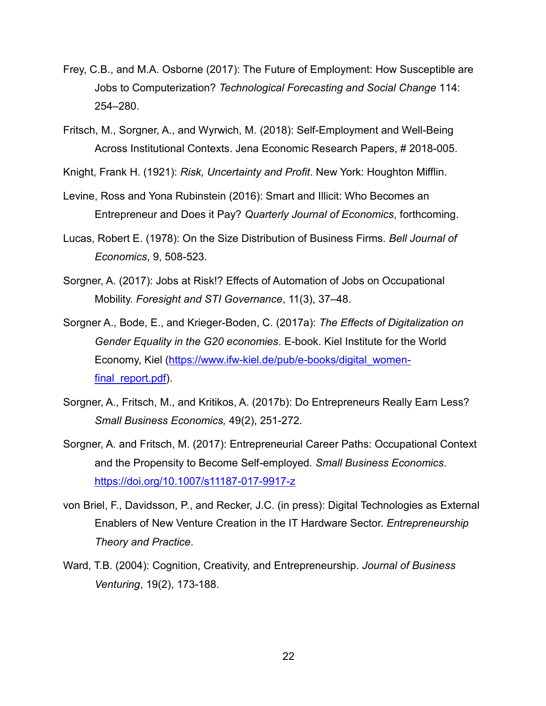- Frey, C.B., and M.A. Osborne (2017): The Future of Employment: How Susceptible are Jobs to Computerization? *Technological Forecasting and Social Change* 114: 254–280.
- Fritsch, M., Sorgner, A., and Wyrwich, M. (2018): Self-Employment and Well-Being Across Institutional Contexts. Jena Economic Research Papers, # 2018-005.
- Knight, Frank H. (1921): *Risk, Uncertainty and Profit*. New York: Houghton Mifflin.
- Levine, Ross and Yona Rubinstein (2016): Smart and Illicit: Who Becomes an Entrepreneur and Does it Pay? *Quarterly Journal of Economics*, forthcoming.
- Lucas, Robert E. (1978): On the Size Distribution of Business Firms. *Bell Journal of Economics*, 9, 508-523.
- Sorgner, A. (2017): Jobs at Risk!? Effects of Automation of Jobs on Occupational Mobility. *Foresight and STI Governance*, 11(3), 37–48.
- Sorgner A., Bode, E., and Krieger-Boden, C. (2017a): *The Effects of Digitalization on Gender Equality in the G20 economies*. E-book. Kiel Institute for the World Economy, Kiel [\(https://www.ifw-kiel.de/pub/e-books/digital\\_women](https://www.ifw-kiel.de/pub/e-books/digital_women-final_report.pdf)final report.pdf).
- Sorgner, A., Fritsch, M., and Kritikos, A. (2017b): Do Entrepreneurs Really Earn Less? *Small Business Economics,* 49(2), 251-272.
- Sorgner, A. and Fritsch, M. (2017): Entrepreneurial Career Paths: Occupational Context and the Propensity to Become Self-employed*. Small Business Economics*. <https://doi.org/10.1007/s11187-017-9917-z>
- von Briel, F., Davidsson, P., and Recker, J.C. (in press): Digital Technologies as External Enablers of New Venture Creation in the IT Hardware Sector. *Entrepreneurship Theory and Practice*.
- Ward, T.B. (2004): Cognition, Creativity, and Entrepreneurship. *Journal of Business Venturing*, 19(2), 173-188.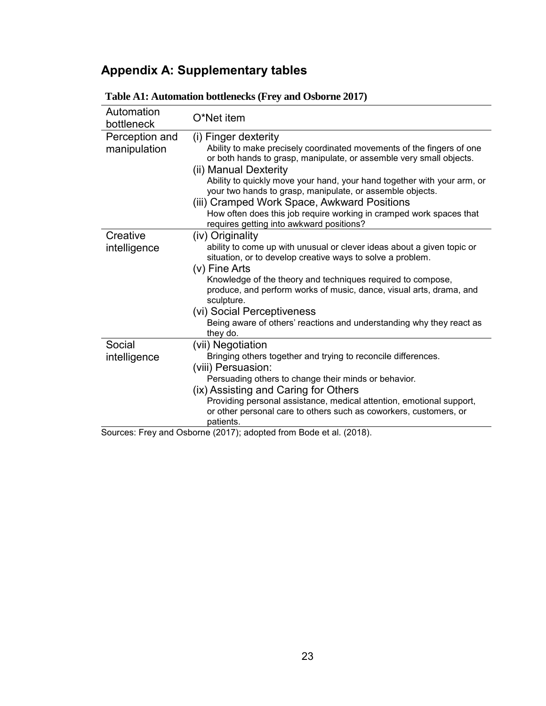# **Appendix A: Supplementary tables**

| Automation<br>bottleneck | O*Net item                                                                                                                                       |
|--------------------------|--------------------------------------------------------------------------------------------------------------------------------------------------|
| Perception and           | (i) Finger dexterity                                                                                                                             |
| manipulation             | Ability to make precisely coordinated movements of the fingers of one<br>or both hands to grasp, manipulate, or assemble very small objects.     |
|                          | (ii) Manual Dexterity<br>Ability to quickly move your hand, your hand together with your arm, or                                                 |
|                          | your two hands to grasp, manipulate, or assemble objects.                                                                                        |
|                          | (iii) Cramped Work Space, Awkward Positions                                                                                                      |
|                          | How often does this job require working in cramped work spaces that<br>requires getting into awkward positions?                                  |
| Creative                 | (iv) Originality                                                                                                                                 |
| intelligence             | ability to come up with unusual or clever ideas about a given topic or<br>situation, or to develop creative ways to solve a problem.             |
|                          | (v) Fine Arts                                                                                                                                    |
|                          | Knowledge of the theory and techniques required to compose,<br>produce, and perform works of music, dance, visual arts, drama, and<br>sculpture. |
|                          | (vi) Social Perceptiveness                                                                                                                       |
|                          | Being aware of others' reactions and understanding why they react as<br>they do.                                                                 |
| Social                   | (vii) Negotiation                                                                                                                                |
| intelligence             | Bringing others together and trying to reconcile differences.                                                                                    |
|                          | (viii) Persuasion:                                                                                                                               |
|                          | Persuading others to change their minds or behavior.                                                                                             |
|                          | (ix) Assisting and Caring for Others                                                                                                             |
|                          | Providing personal assistance, medical attention, emotional support,                                                                             |
|                          | or other personal care to others such as coworkers, customers, or<br>patients.                                                                   |
|                          | Sources: Frey and Osborne (2017); adopted from Bode et al. (2018).                                                                               |

### **Table A1: Automation bottlenecks (Frey and Osborne 2017)**

ey and Osborne (2017); adopted from Bode et al. (2018).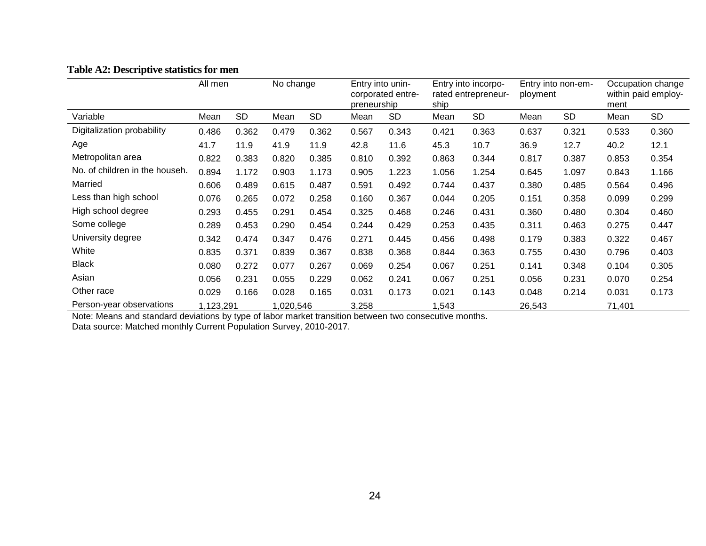|                                | All men |                        | No change |           | Entry into unin-<br>corporated entre-<br>preneurship |           | Entry into incorpo-<br>rated entrepreneur-<br>ship |           | Entry into non-em-<br>ployment |           | Occupation change<br>within paid employ-<br>ment |       |
|--------------------------------|---------|------------------------|-----------|-----------|------------------------------------------------------|-----------|----------------------------------------------------|-----------|--------------------------------|-----------|--------------------------------------------------|-------|
| Variable                       | Mean    | <b>SD</b>              | Mean      | <b>SD</b> | Mean                                                 | <b>SD</b> | Mean                                               | <b>SD</b> | Mean                           | <b>SD</b> | Mean                                             | SD    |
| Digitalization probability     | 0.486   | 0.362                  | 0.479     | 0.362     | 0.567                                                | 0.343     | 0.421                                              | 0.363     | 0.637                          | 0.321     | 0.533                                            | 0.360 |
| Age                            | 41.7    | 11.9                   | 41.9      | 11.9      | 42.8                                                 | 11.6      | 45.3                                               | 10.7      | 36.9                           | 12.7      | 40.2                                             | 12.1  |
| Metropolitan area              | 0.822   | 0.383                  | 0.820     | 0.385     | 0.810                                                | 0.392     | 0.863                                              | 0.344     | 0.817                          | 0.387     | 0.853                                            | 0.354 |
| No. of children in the househ. | 0.894   | 1.172                  | 0.903     | 1.173     | 0.905                                                | 1.223     | 1.056                                              | 1.254     | 0.645                          | 1.097     | 0.843                                            | 1.166 |
| Married                        | 0.606   | 0.489                  | 0.615     | 0.487     | 0.591                                                | 0.492     | 0.744                                              | 0.437     | 0.380                          | 0.485     | 0.564                                            | 0.496 |
| Less than high school          | 0.076   | 0.265                  | 0.072     | 0.258     | 0.160                                                | 0.367     | 0.044                                              | 0.205     | 0.151                          | 0.358     | 0.099                                            | 0.299 |
| High school degree             | 0.293   | 0.455                  | 0.291     | 0.454     | 0.325                                                | 0.468     | 0.246                                              | 0.431     | 0.360                          | 0.480     | 0.304                                            | 0.460 |
| Some college                   | 0.289   | 0.453                  | 0.290     | 0.454     | 0.244                                                | 0.429     | 0.253                                              | 0.435     | 0.311                          | 0.463     | 0.275                                            | 0.447 |
| University degree              | 0.342   | 0.474                  | 0.347     | 0.476     | 0.271                                                | 0.445     | 0.456                                              | 0.498     | 0.179                          | 0.383     | 0.322                                            | 0.467 |
| White                          | 0.835   | 0.371                  | 0.839     | 0.367     | 0.838                                                | 0.368     | 0.844                                              | 0.363     | 0.755                          | 0.430     | 0.796                                            | 0.403 |
| <b>Black</b>                   | 0.080   | 0.272                  | 0.077     | 0.267     | 0.069                                                | 0.254     | 0.067                                              | 0.251     | 0.141                          | 0.348     | 0.104                                            | 0.305 |
| Asian                          | 0.056   | 0.231                  | 0.055     | 0.229     | 0.062                                                | 0.241     | 0.067                                              | 0.251     | 0.056                          | 0.231     | 0.070                                            | 0.254 |
| Other race                     | 0.029   | 0.166                  | 0.028     | 0.165     | 0.031                                                | 0.173     | 0.021                                              | 0.143     | 0.048                          | 0.214     | 0.031                                            | 0.173 |
| Person-year observations       |         | 1,123,291<br>1,020,546 |           | 3,258     | 1,543                                                |           |                                                    | 26,543    |                                | 71,401    |                                                  |       |

#### **Table A2: Descriptive statistics for men**

Note: Means and standard deviations by type of labor market transition between two consecutive months. Data source: Matched monthly Current Population Survey, 2010-2017.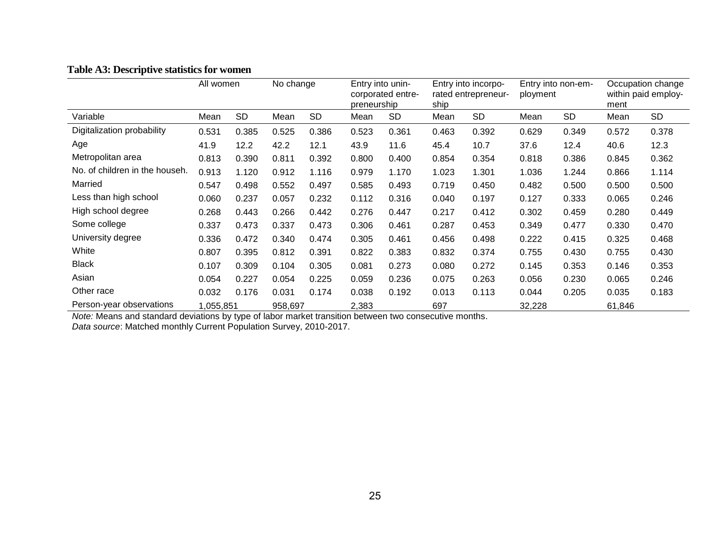|                                | All women |           | No change |           | Entry into unin-<br>corporated entre-<br>preneurship |           | Entry into incorpo-<br>rated entrepreneur-<br>ship |           | Entry into non-em-<br>ployment |           | Occupation change<br>within paid employ-<br>ment |           |
|--------------------------------|-----------|-----------|-----------|-----------|------------------------------------------------------|-----------|----------------------------------------------------|-----------|--------------------------------|-----------|--------------------------------------------------|-----------|
| Variable                       | Mean      | <b>SD</b> | Mean      | <b>SD</b> | Mean                                                 | <b>SD</b> | Mean                                               | <b>SD</b> | Mean                           | <b>SD</b> | Mean                                             | <b>SD</b> |
| Digitalization probability     | 0.531     | 0.385     | 0.525     | 0.386     | 0.523                                                | 0.361     | 0.463                                              | 0.392     | 0.629                          | 0.349     | 0.572                                            | 0.378     |
| Age                            | 41.9      | 12.2      | 42.2      | 12.1      | 43.9                                                 | 11.6      | 45.4                                               | 10.7      | 37.6                           | 12.4      | 40.6                                             | 12.3      |
| Metropolitan area              | 0.813     | 0.390     | 0.811     | 0.392     | 0.800                                                | 0.400     | 0.854                                              | 0.354     | 0.818                          | 0.386     | 0.845                                            | 0.362     |
| No. of children in the househ. | 0.913     | 1.120     | 0.912     | 1.116     | 0.979                                                | 1.170     | 1.023                                              | 1.301     | 1.036                          | 1.244     | 0.866                                            | 1.114     |
| Married                        | 0.547     | 0.498     | 0.552     | 0.497     | 0.585                                                | 0.493     | 0.719                                              | 0.450     | 0.482                          | 0.500     | 0.500                                            | 0.500     |
| Less than high school          | 0.060     | 0.237     | 0.057     | 0.232     | 0.112                                                | 0.316     | 0.040                                              | 0.197     | 0.127                          | 0.333     | 0.065                                            | 0.246     |
| High school degree             | 0.268     | 0.443     | 0.266     | 0.442     | 0.276                                                | 0.447     | 0.217                                              | 0.412     | 0.302                          | 0.459     | 0.280                                            | 0.449     |
| Some college                   | 0.337     | 0.473     | 0.337     | 0.473     | 0.306                                                | 0.461     | 0.287                                              | 0.453     | 0.349                          | 0.477     | 0.330                                            | 0.470     |
| University degree              | 0.336     | 0.472     | 0.340     | 0.474     | 0.305                                                | 0.461     | 0.456                                              | 0.498     | 0.222                          | 0.415     | 0.325                                            | 0.468     |
| White                          | 0.807     | 0.395     | 0.812     | 0.391     | 0.822                                                | 0.383     | 0.832                                              | 0.374     | 0.755                          | 0.430     | 0.755                                            | 0.430     |
| <b>Black</b>                   | 0.107     | 0.309     | 0.104     | 0.305     | 0.081                                                | 0.273     | 0.080                                              | 0.272     | 0.145                          | 0.353     | 0.146                                            | 0.353     |
| Asian                          | 0.054     | 0.227     | 0.054     | 0.225     | 0.059                                                | 0.236     | 0.075                                              | 0.263     | 0.056                          | 0.230     | 0.065                                            | 0.246     |
| Other race                     | 0.032     | 0.176     | 0.031     | 0.174     | 0.038                                                | 0.192     | 0.013                                              | 0.113     | 0.044                          | 0.205     | 0.035                                            | 0.183     |
| Person-year observations       | 1,055,851 |           |           | 958,697   |                                                      |           | 697                                                |           | 32,228                         |           | 61,846                                           |           |

#### **Table A3: Descriptive statistics for women**

*Note:* Means and standard deviations by type of labor market transition between two consecutive months. *Data source*: Matched monthly Current Population Survey, 2010-2017.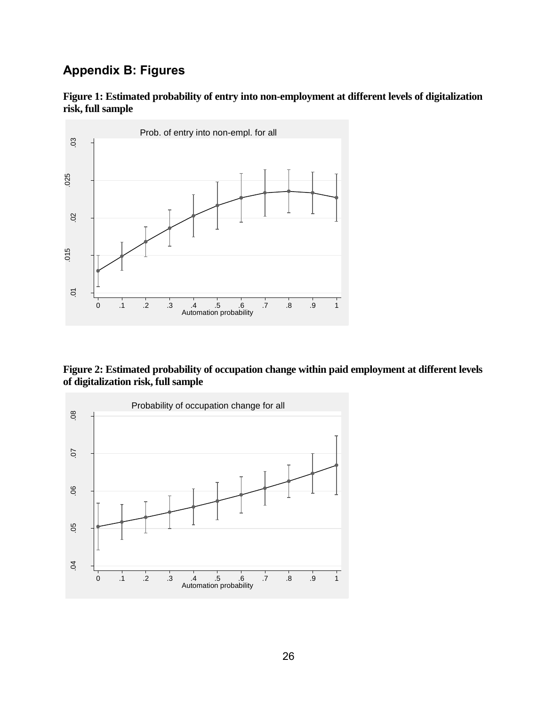# **Appendix B: Figures**





**Figure 2: Estimated probability of occupation change within paid employment at different levels of digitalization risk, full sample**

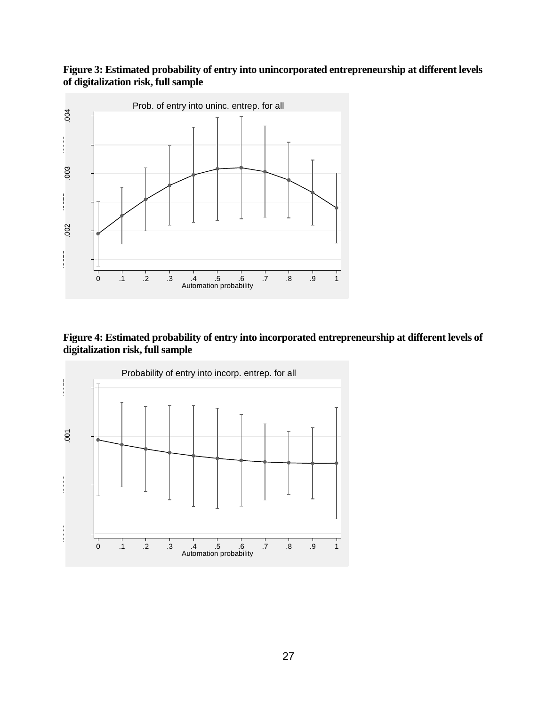#### **Figure 3: Estimated probability of entry into unincorporated entrepreneurship at different levels of digitalization risk, full sample**



**Figure 4: Estimated probability of entry into incorporated entrepreneurship at different levels of digitalization risk, full sample**

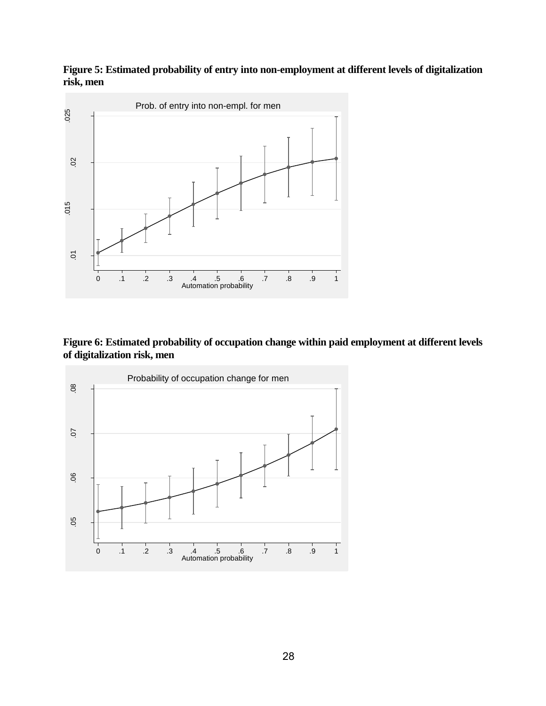**Figure 5: Estimated probability of entry into non-employment at different levels of digitalization risk, men**



**Figure 6: Estimated probability of occupation change within paid employment at different levels of digitalization risk, men**

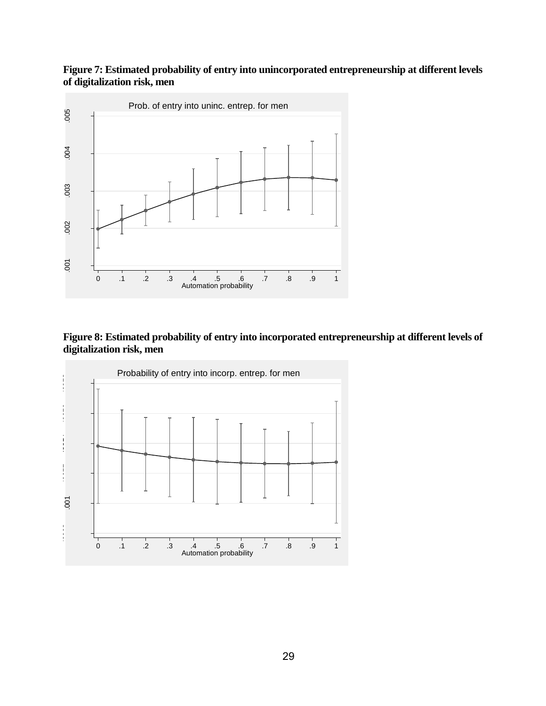#### **Figure 7: Estimated probability of entry into unincorporated entrepreneurship at different levels of digitalization risk, men**



#### **Figure 8: Estimated probability of entry into incorporated entrepreneurship at different levels of digitalization risk, men**

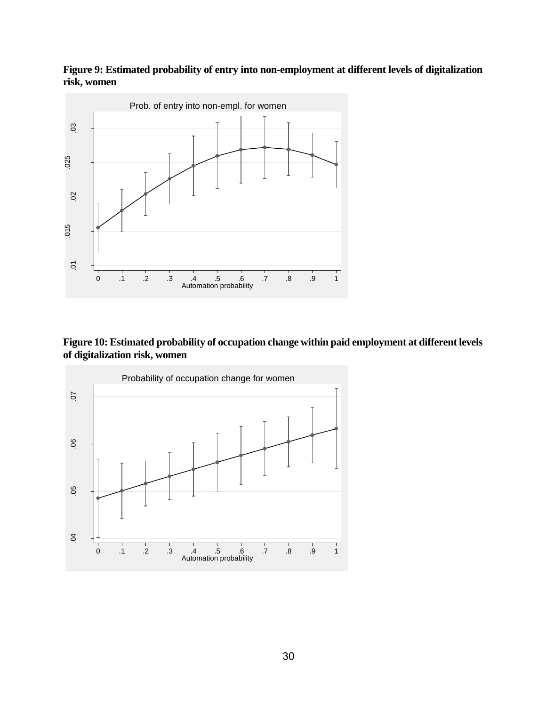#### **Figure 9: Estimated probability of entry into non-employment at different levels of digitalization risk, women**



#### **Figure 10: Estimated probability of occupation change within paid employment at different levels of digitalization risk, women**